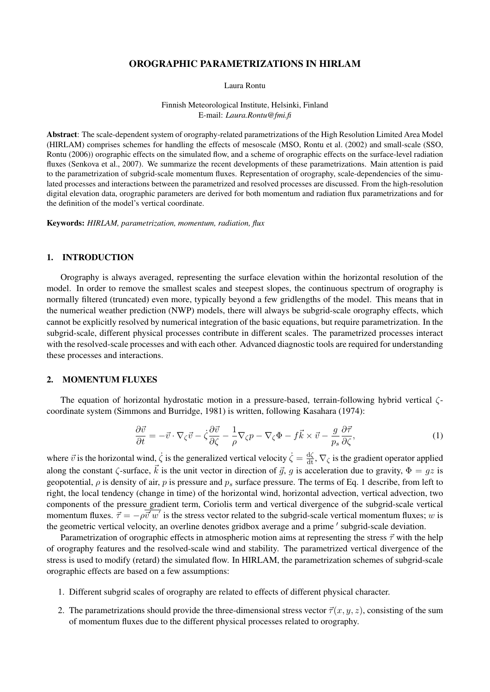# OROGRAPHIC PARAMETRIZATIONS IN HIRLAM

Laura Rontu

Finnish Meteorological Institute, Helsinki, Finland E-mail: *Laura.Rontu@fmi.fi*

Abstract: The scale-dependent system of orography-related parametrizations of the High Resolution Limited Area Model (HIRLAM) comprises schemes for handling the effects of mesoscale (MSO, Rontu et al. (2002) and small-scale (SSO, Rontu (2006)) orographic effects on the simulated flow, and a scheme of orographic effects on the surface-level radiation fluxes (Senkova et al., 2007). We summarize the recent developments of these parametrizations. Main attention is paid to the parametrization of subgrid-scale momentum fluxes. Representation of orography, scale-dependencies of the simulated processes and interactions between the parametrized and resolved processes are discussed. From the high-resolution digital elevation data, orographic parameters are derived for both momentum and radiation flux parametrizations and for the definition of the model's vertical coordinate.

Keywords: *HIRLAM, parametrization, momentum, radiation, flux*

## 1. INTRODUCTION

Orography is always averaged, representing the surface elevation within the horizontal resolution of the model. In order to remove the smallest scales and steepest slopes, the continuous spectrum of orography is normally filtered (truncated) even more, typically beyond a few gridlengths of the model. This means that in the numerical weather prediction (NWP) models, there will always be subgrid-scale orography effects, which cannot be explicitly resolved by numerical integration of the basic equations, but require parametrization. In the subgrid-scale, different physical processes contribute in different scales. The parametrized processes interact with the resolved-scale processes and with each other. Advanced diagnostic tools are required for understanding these processes and interactions.

### 2. MOMENTUM FLUXES

The equation of horizontal hydrostatic motion in a pressure-based, terrain-following hybrid vertical ζcoordinate system (Simmons and Burridge, 1981) is written, following Kasahara (1974):

$$
\frac{\partial \vec{v}}{\partial t} = -\vec{v} \cdot \nabla_{\zeta} \vec{v} - \dot{\zeta} \frac{\partial \vec{v}}{\partial \zeta} - \frac{1}{\rho} \nabla_{\zeta} p - \nabla_{\zeta} \Phi - f \vec{k} \times \vec{v} - \frac{g}{p_s} \frac{\partial \vec{\tau}}{\partial \zeta},\tag{1}
$$

where  $\vec{v}$  is the horizontal wind,  $\dot{\zeta}$  is the generalized vertical velocity  $\dot{\zeta} = \frac{d\zeta}{dt}$ ,  $\nabla_{\zeta}$  is the gradient operator applied along the constant  $\zeta$ -surface,  $\vec{k}$  is the unit vector in direction of  $\vec{g}$ , g is acceleration due to gravity,  $\Phi = gz$  is geopotential,  $\rho$  is density of air, p is pressure and  $p_s$  surface pressure. The terms of Eq. 1 describe, from left to right, the local tendency (change in time) of the horizontal wind, horizontal advection, vertical advection, two components of the pressure gradient term, Coriolis term and vertical divergence of the subgrid-scale vertical momentum fluxes.  $\vec{\tau} = -\rho \overline{\vec{v}'w'}$  is the stress vector related to the subgrid-scale vertical momentum fluxes; w is the geometric vertical velocity, an overline denotes gridbox average and a prime ' subgrid-scale deviation.

Parametrization of orographic effects in atmospheric motion aims at representing the stress  $\vec{\tau}$  with the help of orography features and the resolved-scale wind and stability. The parametrized vertical divergence of the stress is used to modify (retard) the simulated flow. In HIRLAM, the parametrization schemes of subgrid-scale orographic effects are based on a few assumptions:

- 1. Different subgrid scales of orography are related to effects of different physical character.
- 2. The parametrizations should provide the three-dimensional stress vector  $\vec{\tau}(x, y, z)$ , consisting of the sum of momentum fluxes due to the different physical processes related to orography.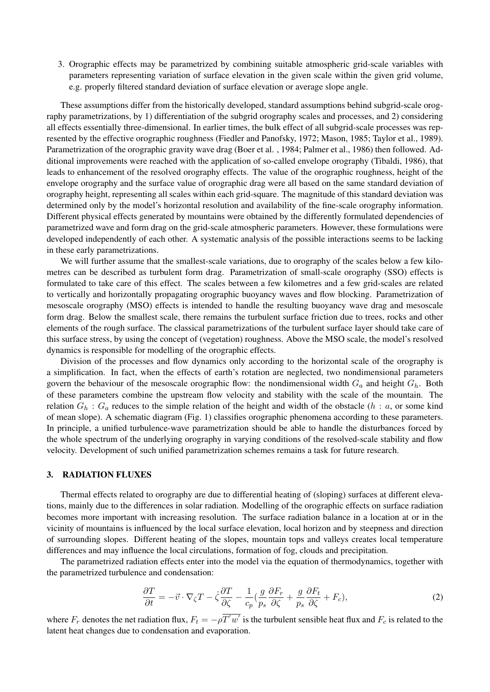3. Orographic effects may be parametrized by combining suitable atmospheric grid-scale variables with parameters representing variation of surface elevation in the given scale within the given grid volume, e.g. properly filtered standard deviation of surface elevation or average slope angle.

These assumptions differ from the historically developed, standard assumptions behind subgrid-scale orography parametrizations, by 1) differentiation of the subgrid orography scales and processes, and 2) considering all effects essentially three-dimensional. In earlier times, the bulk effect of all subgrid-scale processes was represented by the effective orographic roughness (Fiedler and Panofsky, 1972; Mason, 1985; Taylor et al., 1989). Parametrization of the orographic gravity wave drag (Boer et al. , 1984; Palmer et al., 1986) then followed. Additional improvements were reached with the application of so-called envelope orography (Tibaldi, 1986), that leads to enhancement of the resolved orography effects. The value of the orographic roughness, height of the envelope orography and the surface value of orographic drag were all based on the same standard deviation of orography height, representing all scales within each grid-square. The magnitude of this standard deviation was determined only by the model's horizontal resolution and availability of the fine-scale orography information. Different physical effects generated by mountains were obtained by the differently formulated dependencies of parametrized wave and form drag on the grid-scale atmospheric parameters. However, these formulations were developed independently of each other. A systematic analysis of the possible interactions seems to be lacking in these early parametrizations.

We will further assume that the smallest-scale variations, due to orography of the scales below a few kilometres can be described as turbulent form drag. Parametrization of small-scale orography (SSO) effects is formulated to take care of this effect. The scales between a few kilometres and a few grid-scales are related to vertically and horizontally propagating orographic buoyancy waves and flow blocking. Parametrization of mesoscale orography (MSO) effects is intended to handle the resulting buoyancy wave drag and mesoscale form drag. Below the smallest scale, there remains the turbulent surface friction due to trees, rocks and other elements of the rough surface. The classical parametrizations of the turbulent surface layer should take care of this surface stress, by using the concept of (vegetation) roughness. Above the MSO scale, the model's resolved dynamics is responsible for modelling of the orographic effects.

Division of the processes and flow dynamics only according to the horizontal scale of the orography is a simplification. In fact, when the effects of earth's rotation are neglected, two nondimensional parameters govern the behaviour of the mesoscale orographic flow: the nondimensional width  $G_a$  and height  $G_h$ . Both of these parameters combine the upstream flow velocity and stability with the scale of the mountain. The relation  $G_h : G_a$  reduces to the simple relation of the height and width of the obstacle ( $h : a$ , or some kind of mean slope). A schematic diagram (Fig. 1) classifies orographic phenomena according to these parameters. In principle, a unified turbulence-wave parametrization should be able to handle the disturbances forced by the whole spectrum of the underlying orography in varying conditions of the resolved-scale stability and flow velocity. Development of such unified parametrization schemes remains a task for future research.

### 3. RADIATION FLUXES

Thermal effects related to orography are due to differential heating of (sloping) surfaces at different elevations, mainly due to the differences in solar radiation. Modelling of the orographic effects on surface radiation becomes more important with increasing resolution. The surface radiation balance in a location at or in the vicinity of mountains is influenced by the local surface elevation, local horizon and by steepness and direction of surrounding slopes. Different heating of the slopes, mountain tops and valleys creates local temperature differences and may influence the local circulations, formation of fog, clouds and precipitation.

The parametrized radiation effects enter into the model via the equation of thermodynamics, together with the parametrized turbulence and condensation:

$$
\frac{\partial T}{\partial t} = -\vec{v} \cdot \nabla_{\zeta} T - \dot{\zeta} \frac{\partial T}{\partial \zeta} - \frac{1}{c_p} \left( \frac{g}{p_s} \frac{\partial F_r}{\partial \zeta} + \frac{g}{p_s} \frac{\partial F_t}{\partial \zeta} + F_c \right),\tag{2}
$$

where  $F_r$  denotes the net radiation flux,  $F_t = -\rho \overline{T'w'}$  is the turbulent sensible heat flux and  $F_c$  is related to the latent heat changes due to condensation and evaporation.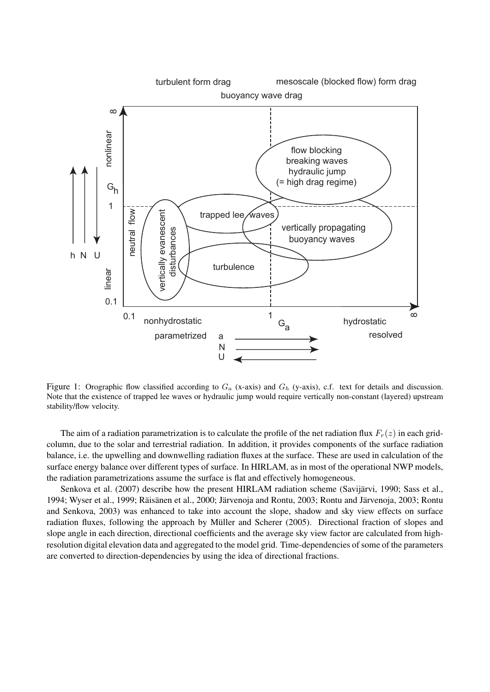

Figure 1: Orographic flow classified according to  $G_a$  (x-axis) and  $G_b$  (y-axis), c.f. text for details and discussion. Note that the existence of trapped lee waves or hydraulic jump would require vertically non-constant (layered) upstream stability/flow velocity.

The aim of a radiation parametrization is to calculate the profile of the net radiation flux  $F_r(z)$  in each gridcolumn, due to the solar and terrestrial radiation. In addition, it provides components of the surface radiation balance, i.e. the upwelling and downwelling radiation fluxes at the surface. These are used in calculation of the surface energy balance over different types of surface. In HIRLAM, as in most of the operational NWP models, the radiation parametrizations assume the surface is flat and effectively homogeneous.

Senkova et al. (2007) describe how the present HIRLAM radiation scheme (Savijärvi, 1990; Sass et al., 1994; Wyser et al., 1999; Räisänen et al., 2000; Järvenoja and Rontu, 2003; Rontu and Järvenoja, 2003; Rontu and Senkova, 2003) was enhanced to take into account the slope, shadow and sky view effects on surface radiation fluxes, following the approach by Müller and Scherer (2005). Directional fraction of slopes and slope angle in each direction, directional coefficients and the average sky view factor are calculated from highresolution digital elevation data and aggregated to the model grid. Time-dependencies of some of the parameters are converted to direction-dependencies by using the idea of directional fractions.